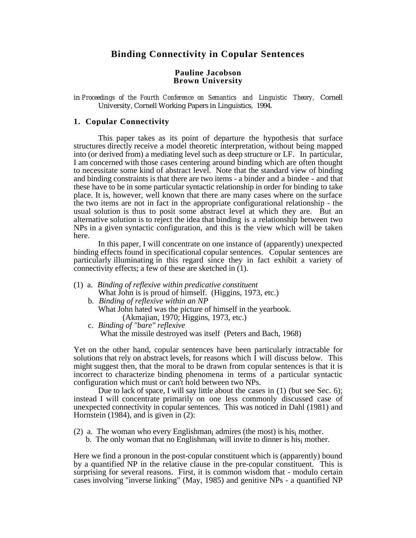# **Binding Connectivity in Copular Sentences**

#### **Pauline Jacobson Brown University**

in *Proceedings of the Fourth Conference on Semantics and Linguistic Theory,* Cornell University, Cornell Working Papers in Linguistics, 1994.

# **1. Copular Connectivity**

This paper takes as its point of departure the hypothesis that surface structures directly receive a model theoretic interpretation, without being mapped into (or derived from) a mediating level such as deep structure or LF. In particular, I am concerned with those cases centering around binding which are often thought to necessitate some kind of abstract level. Note that the standard view of binding and binding constraints is that there are two items - a binder and a bindee - and that these have to be in some particular syntactic relationship in order for binding to take place. It is, however, well known that there are many cases where on the surface the two items are not in fact in the appropriate configurational relationship - the usual solution is thus to posit some abstract level at which they are. But an alternative solution is to reject the idea that binding is a relationship between two NPs in a given syntactic configuration, and this is the view which will be taken here.

In this paper, I will concentrate on one instance of (apparently) unexpected binding effects found in specificational copular sentences. Copular sentences are particularly illuminating in this regard since they in fact exhibit a variety of connectivity effects; a few of these are sketched in (1).

- (1) a. *Binding of reflexive within predicative constituent* What John is is proud of himself. (Higgins, 1973, etc.)
	- b. *Binding of reflexive within an NP* What John hated was the picture of himself in the yearbook. (Akmajian, 1970; Higgins, 1973, etc.)
	- c. *Binding of "bare" reflexive* What the missile destroyed was itself (Peters and Bach, 1968)

Yet on the other hand, copular sentences have been particularly intractable for solutions that rely on abstract levels, for reasons which  $\overline{I}$  will discuss below. This might suggest then, that the moral to be drawn from copular sentences is that it is incorrect to characterize binding phenomena in terms of a particular syntactic configuration which must or can't hold between two NPs.

Due to lack of space, I will say little about the cases in (1) (but see Sec. 6); instead I will concentrate primarily on one less commonly discussed case of unexpected connectivity in copular sentences. This was noticed in Dahl (1981) and Hornstein (1984), and is given in (2):

(2) a. The woman who every Englishman<sub>i</sub> admires (the most) is his $_{i}$  mother.

b. The only woman that no Englishman<sub>i</sub> will invite to dinner is his<sub>i</sub> mother.

Here we find a pronoun in the post-copular constituent which is (apparently) bound by a quantified NP in the relative clause in the pre-copular constituent. This is surprising for several reasons. First, it is common wisdom that - modulo certain cases involving "inverse linking" (May, 1985) and genitive NPs - a quantified NP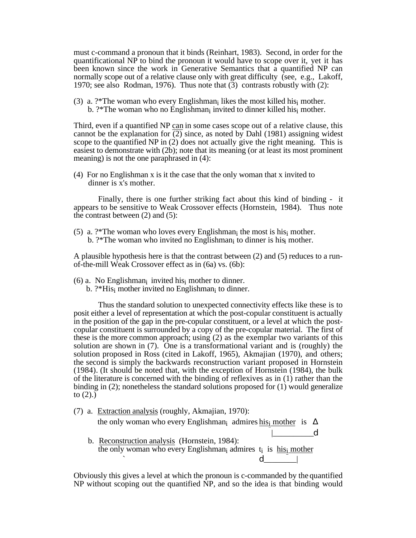must c-command a pronoun that it binds (Reinhart, 1983). Second, in order for the quantificational  $NP$  to bind the pronoun it would have to scope over it, yet it has been known since the work in Generative Semantics that a quantified NP can normally scope out of a relative clause only with great difficulty (see, e.g., Lakoff, 1970; see also Rodman, 1976). Thus note that (3) contrasts robustly with (2):

(3) a.  $?$ \*The woman who every Englishman<sub>i</sub> likes the most killed his<sub>i</sub> mother. b.  $?*$ The woman who no Englishman<sub>i</sub> invited to dinner killed his<sub>i</sub> mother.

Third, even if a quantified NP can in some cases scope out of a relative clause, this cannot be the explanation for (2) since, as noted by Dahl (1981) assigning widest scope to the quantified NP in (2) does not actually give the right meaning. This is easiest to demonstrate with (2b); note that its meaning (or at least its most prominent meaning) is not the one paraphrased in (4):

(4) For no Englishman x is it the case that the only woman that x invited to dinner is x's mother.

Finally, there is one further striking fact about this kind of binding - it appears to be sensitive to Weak Crossover effects (Hornstein, 1984). Thus note the contrast between (2) and (5):

(5) a. ?\*The woman who loves every Englishman<sub>i</sub> the most is his<sub>i</sub> mother. b.  $?*$ The woman who invited no Englishman<sub>i</sub> to dinner is his mother.

A plausible hypothesis here is that the contrast between (2) and (5) reduces to a runof-the-mill Weak Crossover effect as in (6a) vs. (6b):

- $(6)$  a. No Englishman<sub>i</sub> invited his<sub>i</sub> mother to dinner.
- b.  $?*His<sub>i</sub>$  mother invited no Englishman<sub>i</sub> to dinner.

Thus the standard solution to unexpected connectivity effects like these is to posit either a level of representation at which the post-copular constituent is actually in the position of the gap in the pre-copular constituent, or a level at which the postcopular constituent is surrounded by a copy of the pre-copular material. The first of these is the more common approach; using (2) as the exemplar two variants of this solution are shown in (7). One is a transformational variant and is (roughly) the solution proposed in Ross (cited in Lakoff, 1965), Akmajian (1970), and others; the second is simply the backwards reconstruction variant proposed in Hornstein (1984). (It should be noted that, with the exception of Hornstein (1984), the bulk of the literature is concerned with the binding of reflexives as in (1) rather than the binding in (2); nonetheless the standard solutions proposed for (1) would generalize to  $(2)$ .)

(7) a. Extraction analysis (roughly, Akmajian, 1970):

the only woman who every Englishman<sub>i</sub> admires  $\underline{\text{his}}_1$  mother is

 $\mathsf{d}$  b. Reconstruction analysis (Hornstein, 1984): the only woman who every Englishman<sub>i</sub> admires t<sub>i</sub> is **his**i mother  $d \qquad \qquad$ 

Obviously this gives a level at which the pronoun is c-commanded by the quantified NP without scoping out the quantified NP, and so the idea is that binding would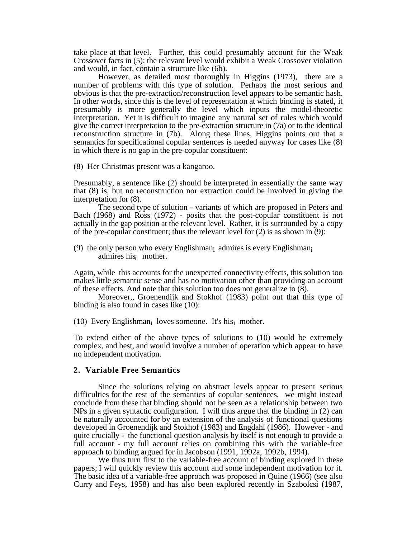take place at that level. Further, this could presumably account for the Weak Crossover facts in (5); the relevant level would exhibit a Weak Crossover violation and would, in fact, contain a structure like (6b).

However, as detailed most thoroughly in Higgins (1973), there are a number of problems with this type of solution. Perhaps the most serious and obvious is that the pre-extraction/reconstruction level appears to be semantic hash. In other words, since this is the level of representation at which binding is stated, it presumably is more generally the level which inputs the model-theoretic interpretation. Yet it is difficult to imagine any natural set of rules which would give the correct interpretation to the pre-extraction structure in (7a) or to the identical reconstruction structure in (7b). Along these lines, Higgins points out that a semantics for specificational copular sentences is needed anyway for cases like (8) in which there is no gap in the pre-copular constituent:

(8) Her Christmas present was a kangaroo.

Presumably, a sentence like (2) should be interpreted in essentially the same way that (8) is, but no reconstruction nor extraction could be involved in giving the interpretation for (8).

The second type of solution - variants of which are proposed in Peters and Bach (1968) and Ross (1972) - posits that the post-copular constituent is not actually in the gap position at the relevant level. Rather, it is surrounded by a copy of the pre-copular constituent; thus the relevant level for (2) is as shown in (9):

(9) the only person who every Englishman<sub>i</sub> admires is every Englishman<sub>i</sub> admires hisi mother.

Again, while this accounts for the unexpected connectivity effects, this solution too makes little semantic sense and has no motivation other than providing an account of these effects. And note that this solution too does not generalize to (8).

Moreover,, Groenendijk and Stokhof (1983) point out that this type of binding is also found in cases like (10):

(10) Every Englishman<sub>i</sub> loves someone. It's his<sub>i</sub> mother.

To extend either of the above types of solutions to (10) would be extremely complex, and best, and would involve a number of operation which appear to have no independent motivation.

# **2. Variable Free Semantics**

Since the solutions relying on abstract levels appear to present serious difficulties for the rest of the semantics of copular sentences, we might instead conclude from these that binding should not be seen as a relationship between two NPs in a given syntactic configuration. I will thus argue that the binding in (2) can be naturally accounted for by an extension of the analysis of functional questions developed in Groenendijk and Stokhof (1983) and Engdahl (1986). However - and quite crucially - the functional question analysis by itself is not enough to provide a full account - my full account relies on combining this with the variable-free approach to binding argued for in Jacobson (1991, 1992a, 1992b, 1994).

We thus turn first to the variable-free account of binding explored in these papers; I will quickly review this account and some independent motivation for it. The basic idea of a variable-free approach was proposed in Quine (1966) (see also Curry and Feys, 1958) and has also been explored recently in Szabolcsi (1987,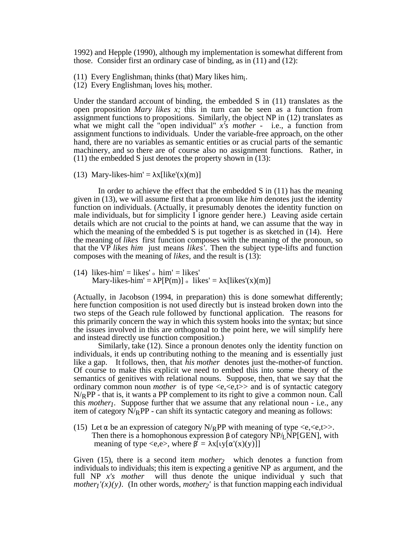1992) and Hepple (1990), although my implementation is somewhat different from those. Consider first an ordinary case of binding, as in (11) and (12):

 $(11)$  Every Englishman<sub>i</sub> thinks (that) Mary likes him<sub>i</sub>.

 $(12)$  Every Englishman<sub>i</sub> loves his<sub>i</sub> mother.

Under the standard account of binding, the embedded  $S$  in  $(11)$  translates as the open proposition *Mary likes x;* this in turn can be seen as a function from assignment functions to propositions. Similarly, the object NP in (12) translates as what we might call the "open individual" *x's mother -* i.e., a function from assignment functions to individuals. Under the variable-free approach, on the other hand, there are no variables as semantic entities or as crucial parts of the semantic machinery, and so there are of course also no assignment functions. Rather, in (11) the embedded S just denotes the property shown in (13):

(13) Mary-likes-him' =  $x[ike'(x)(m)]$ 

In order to achieve the effect that the embedded S in (11) has the meaning given in (13), we will assume first that a pronoun like *him* denotes just the identity function on individuals. (Actually, it presumably denotes the identity function on male individuals, but for simplicity I ignore gender here.) Leaving aside certain details which are not crucial to the points at hand, we can assume that the way in which the meaning of the embedded  $\overline{S}$  is put together is as sketched in (14). Here the meaning of *likes* first function composes with the meaning of the pronoun, so that the VP *likes him* just means *likes'.* Then the subject type-lifts and function composes with the meaning of *likes,* and the result is (13):

(14) likes-him' = likes'  $\circ$  him' = likes' Mary-likes-him' =  $P[P(m)] \circ$  likes' =  $x[likes'(x)(m)]$ 

(Actually, in Jacobson (1994, in preparation) this is done somewhat differently; here function composition is not used directly but is instead broken down into the two steps of the Geach rule followed by functional application. The reasons for this primarily concern the way in which this system hooks into the syntax; but since the issues involved in this are orthogonal to the point here, we will simplify here and instead directly use function composition.)

Similarly, take (12). Since a pronoun denotes only the identity function on individuals, it ends up contributing nothing to the meaning and is essentially just like a gap. It follows, then, that *his mother* denotes just the-mother-of function. Of course to make this explicit we need to embed this into some theory of the semantics of genitives with relational nouns. Suppose, then, that we say that the ordinary common noun *mother* is of type  $\langle e, \langle e, t \rangle$  and is of syntactic category  $N/RPP$  - that is, it wants a PP complement to its right to give a common noun. Call this *mother1*. Suppose further that we assume that any relational noun - i.e., any item of category  $\overline{N/R}$ PP - can shift its syntactic category and meaning as follows:

(15) Let be an expression of category  $N/RPP$  with meaning of type  $\langle e,\langle e,t\rangle\rangle$ . Then there is a homophonous expression of category  $NP/LP[GEN]$ , with meaning of type  $\langle e, e \rangle$ , where  $\vec{r} = x[y[y(x)(y)]]$ 

Given (15), there is a second item *mother2* which denotes a function from individuals to individuals; this item is expecting a genitive NP as argument, and the full NP *x's mother* will thus denote the unique individual y such that *mother<sub>I</sub>'(x)(y).* (In other words, *mother<sub>2</sub>'* is that function mapping each individual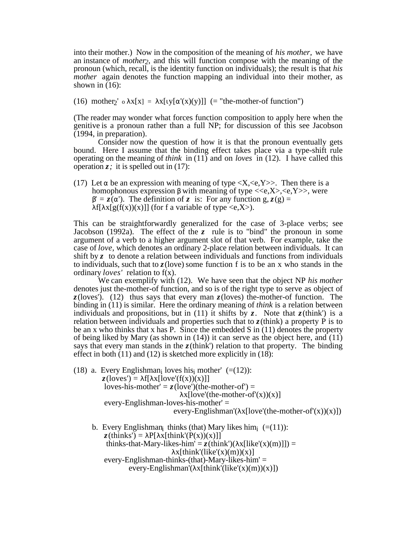into their mother.) Now in the composition of the meaning of *his mother,* we have an instance of *mother2*, and this will function compose with the meaning of the pronoun (which, recall, is the identity function on individuals); the result is that *his mother* again denotes the function mapping an individual into their mother, as shown in  $(16)$ :

(16) mother<sub>2</sub>' o  $x[x] = x[y' (x)(y)]] (=$ "the-mother-of function")

(The reader may wonder what forces function composition to apply here when the genitive is a pronoun rather than a full NP; for discussion of this see Jacobson (1994, in preparation).

Consider now the question of how it is that the pronoun eventually gets bound. Here I assume that the binding effect takes place via a type-shift rule operating on the meaning of *think* in (11) and on *loves* in (12). I have called this operation  $\zeta$ ; it is spelled out in (17):

(17) Let be an expression with meaning of type  $\langle X, \langle e, Y \rangle$ . Then there is a homophonous expression with meaning of type  $\langle \langle e, X \rangle, \langle e, Y \rangle$ , were  $z = z($  '). The definition of *z* is: For any function g,  $z(g) =$ f[  $x[g(f(x))(x)]$ ] (for f a variable of type  $\langle e, X \rangle$ ).

This can be straightforwardly generalized for the case of 3-place verbs; see Jacobson (1992a). The effect of the *z* rule is to "bind" the pronoun in some argument of a verb to a higher argument slot of that verb. For example, take the case of *love,* which denotes an ordinary 2-place relation between individuals. It can shift by *z* to denote a relation between individuals and functions from individuals to individuals, such that to *z*(love) some function f is to be an x who stands in the ordinary *loves'* relation to f(x).

We can exemplify with (12). We have seen that the object NP *his mother* denotes just the-mother-of function, and so is of the right type to serve as object of *z*(loves'). (12) thus says that every man *z*(loves) the-mother-of function. The binding in (11) is similar. Here the ordinary meaning of *think* is a relation between individuals and propositions, but in (11) it shifts by  $z$ . Note that  $z$ (think') is a relation between individuals and properties such that to  $z$ (think) a property P is to be an x who thinks that x has P. Since the embedded S in  $(11)$  denotes the property of being liked by Mary (as shown in  $(14)$ ) it can serve as the object here, and  $(11)$ says that every man stands in the  $z$ (think') relation to that property. The binding effect in both (11) and (12) is sketched more explicitly in (18):

- (18) a. Every Englishman<sub>i</sub> loves his<sub>i</sub> mother'  $(=(12))$ :  $z$ (loves') = f[  $x$ [love'(f(x))(x)]] loves-his-mother' =  $z$ (love')(the-mother-of') =  $x[love'(the-mother-of'(x))(x)]$  every-Englishman-loves-his-mother' = every-Englishman'( $x[love'(the-mother-of'(x))(x)]$ )
- b. Every Englishman<sub>i</sub> thinks (that) Mary likes him<sub>i</sub>  $(=(11))$ :  $z$ (thinks') = P[ x[think'(P(x))(x)]] thinks-that-Mary-likes-him' =  $z$ (think')( $x[like'(x)(m)]]$ ) =  $x[think'(like'(x)(m))(x)]$  every-Englishman-thinks-(that)-Mary-likes-him' = every-Englishman'( $x[think'(like'(x)(m))(x)]$ )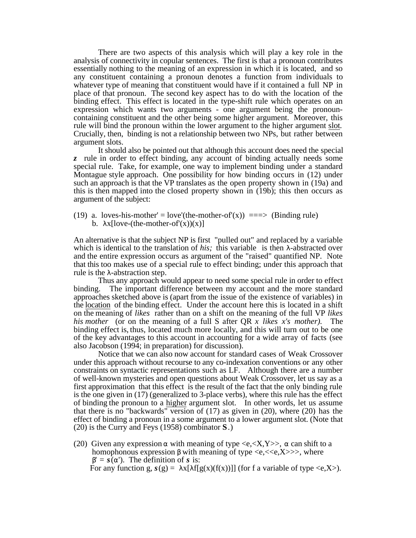There are two aspects of this analysis which will play a key role in the analysis of connectivity in copular sentences. The first is that a pronoun contributes essentially nothing to the meaning of an expression in which it is located, and so any constituent containing a pronoun denotes a function from individuals to whatever type of meaning that constituent would have if it contained a full NP in place of that pronoun. The second key aspect has to do with the location of the binding effect. This effect is located in the type-shift rule which operates on an expression which wants two arguments - one argument being the pronouncontaining constituent and the other being some higher argument. Moreover, this rule will bind the pronoun within the lower argument to the higher argument slot. Crucially, then, binding is not a relationship between two NPs, but rather between argument slots.

It should also be pointed out that although this account does need the special *z* rule in order to effect binding, any account of binding actually needs some special rule. Take, for example, one way to implement binding under a standard Montague style approach. One possibility for how binding occurs in (12) under such an approach is that the VP translates as the open property shown in (19a) and this is then mapped into the closed property shown in (19b); this then occurs as argument of the subject:

(19) a. loves-his-mother' = love'(the-mother-of'(x)) ===> (Binding rule) b.  $x[lower-(the-mother-of'(x))(x)]$ 

An alternative is that the subject NP is first "pulled out" and replaced by a variable which is identical to the translation of *his*; this variable is then -abstracted over and the entire expression occurs as argument of the "raised" quantified NP. Note that this too makes use of a special rule to effect binding; under this approach that rule is the -abstraction step.

Thus any approach would appear to need some special rule in order to effect binding. The important difference between my account and the more standard approaches sketched above is (apart from the issue of the existence of variables) in the location of the binding effect. Under the account here this is located in a shift on the meaning of *likes* rather than on a shift on the meaning of the full VP *likes his mother* (or on the meaning of a full S after QR *x likes x's mother).* The binding effect is, thus, located much more locally, and this will turn out to be one of the key advantages to this account in accounting for a wide array of facts (see also Jacobson (1994; in preparation) for discussion).

Notice that we can also now account for standard cases of Weak Crossover under this approach without recourse to any co-indexation conventions or any other constraints on syntactic representations such as LF. Although there are a number of well-known mysteries and open questions about Weak Crossover, let us say as a first approximation that this effect is the result of the fact that the only binding rule is the one given in (17) (generalized to 3-place verbs), where this rule has the effect of binding the pronoun to a higher argument slot. In other words, let us assume that there is no "backwards" version of (17) as given in (20), where (20) has the effect of binding a pronoun in a some argument to a lower argument slot. (Note that (20) is the Curry and Feys (1958) combinator **S**.)

(20) Given any expression with meaning of type  $\langle e, X, Y \rangle$ , can shift to a homophonous expression with meaning of type  $\langle e, \langle \langle e, X \rangle \rangle$ , where  $' = s($  '). The definition of *s* is:

For any function g,  $s(g) = x[f(g(x)(f(x))]]$  (for f a variable of type  $\langle e, X \rangle$ ).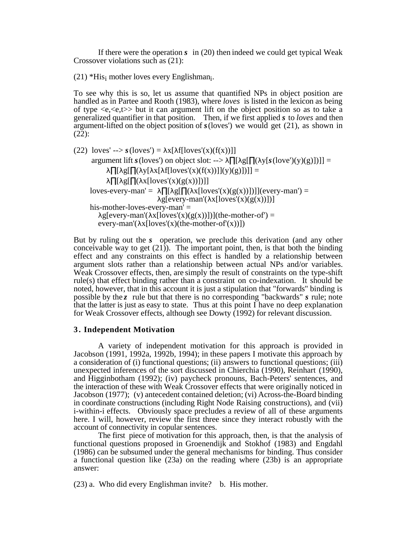If there were the operation *s* in (20) then indeed we could get typical Weak Crossover violations such as (21):

(21) \*His<sub>i</sub> mother loves every Englishman<sub>i</sub>.

To see why this is so, let us assume that quantified NPs in object position are handled as in Partee and Rooth (1983), where *loves* is listed in the lexicon as being of type  $\langle e, \langle e, t \rangle$  but it can argument lift on the object position so as to take a generalized quantifier in that position. Then, if we first applied *s* to *loves* and then argument-lifted on the object position of *s*(loves') we would get (21), as shown in  $(2\overline{2})$ :

(22)  $loves' \rightarrow s (loves') = x[ floves'(x)(f(x))]$ argument lift *s* (loves') on object slot: -->  $[g( ( y[s(love')(y)(g)] )] ] =$ [ g[ ( y[ x[ f[loves'(x)(f(x))]](y)(g)])]] =  $[g( x[loves'(x)(g(x))]]]$ loves-every-man' =  $[g(x][\text{loves}(x)(g(x)))])](\text{every-man'}) =$  $g[every-man' (x[loves'(x)(g(x))])]$  his-mother-loves-every-man' = g[every-man'( $x[loves'(x)(g(x))])$ ](the-mother-of') = every-man'( $x[loves'(x)(the-mother-of'(x))]$ )

But by ruling out the *s* operation, we preclude this derivation (and any other conceivable way to get  $(21)$ ). The important point, then, is that both the binding effect and any constraints on this effect is handled by a relationship between argument slots rather than a relationship between actual NPs and/or variables. Weak Crossover effects, then, are simply the result of constraints on the type-shift rule(s) that effect binding rather than a constraint on co-indexation. It should be noted, however, that in this account it is just a stipulation that "forwards" binding is possible by the *z* rule but that there is no corresponding "backwards" *s* rule; note that the latter is just as easy to state. Thus at this point I have no deep explanation for Weak Crossover effects, although see Dowty (1992) for relevant discussion.

# **3 . Independent Motivation**

A variety of independent motivation for this approach is provided in Jacobson (1991, 1992a, 1992b, 1994); in these papers I motivate this approach by a consideration of (i) functional questions; (ii) answers to functional questions; (iii) unexpected inferences of the sort discussed in Chierchia (1990), Reinhart (1990), and Higginbotham (1992); (iv) paycheck pronouns, Bach-Peters' sentences, and the interaction of these with Weak Crossover effects that were originally noticed in Jacobson (1977); (v) antecedent contained deletion; (vi) Across-the-Board binding in coordinate constructions (including Right Node Raising constructions), and (vii) i-within-i effects. Obviously space precludes a review of all of these arguments here. I will, however, review the first three since they interact robustly with the account of connectivity in copular sentences.

The first piece of motivation for this approach, then, is that the analysis of functional questions proposed in Groenendijk and Stokhof (1983) and Engdahl (1986) can be subsumed under the general mechanisms for binding. Thus consider a functional question like (23a) on the reading where (23b) is an appropriate answer:

(23) a. Who did every Englishman invite? b. His mother.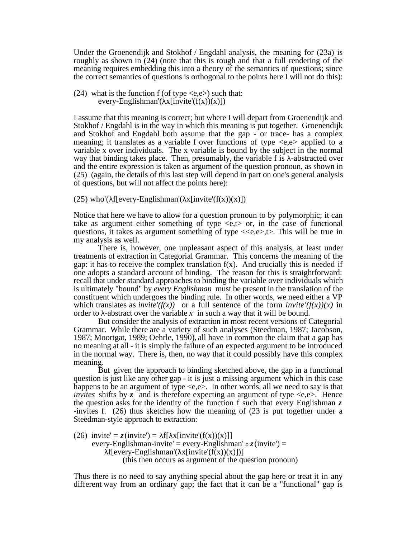Under the Groenendijk and Stokhof / Engdahl analysis, the meaning for (23a) is roughly as shown in (24) (note that this is rough and that a full rendering of the meaning requires embedding this into a theory of the semantics of questions; since the correct semantics of questions is orthogonal to the points here I will not do this):

(24) what is the function f (of type  $\langle e, e \rangle$ ) such that: every-Englishman'( $x$ [invite' $(f(x))(x)$ ])

I assume that this meaning is correct; but where I will depart from Groenendijk and Stokhof / Engdahl is in the way in which this meaning is put together. Groenendijk and Stokhof and Engdahl both assume that the gap - or trace- has a complex meaning; it translates as a variable f over functions of type  $\langle e, e \rangle$  applied to a variable x over individuals. The x variable is bound by the subject in the normal way that binding takes place. Then, presumably, the variable f is -abstracted over and the entire expression is taken as argument of the question pronoun, as shown in (25) (again, the details of this last step will depend in part on one's general analysis of questions, but will not affect the points here):

(25) who'( f[every-Englishman'(  $x$ [invite'( $f(x)$ )( $x$ )])

Notice that here we have to allow for a question pronoun to by polymorphic; it can take as argument either something of type  $\langle e,t \rangle$  or, in the case of functional questions, it takes as argument something of type  $\langle \langle e, e \rangle, \rangle$ . This will be true in my analysis as well.

There is, however, one unpleasant aspect of this analysis, at least under treatments of extraction in Categorial Grammar. This concerns the meaning of the gap: it has to receive the complex translation  $f(x)$ . And crucially this is needed if one adopts a standard account of binding. The reason for this is straightforward: recall that under standard approaches to binding the variable over individuals which is ultimately "bound" by *every Englishman* must be present in the translation of the constituent which undergoes the binding rule. In other words, we need either a VP which translates as *invite'(f(x))* or a full sentence of the form *invite'(f(x))(x)* in order to -abstract over the variable  $x$  in such a way that it will be bound.

But consider the analysis of extraction in most recent versions of Categorial Grammar. While there are a variety of such analyses (Steedman, 1987; Jacobson, 1987; Moortgat, 1989; Oehrle, 1990), all have in common the claim that a gap has no meaning at all - it is simply the failure of an expected argument to be introduced in the normal way. There is, then, no way that it could possibly have this complex meaning.

But given the approach to binding sketched above, the gap in a functional question is just like any other gap - it is just a missing argument which in this case happens to be an argument of type  $\langle e,e \rangle$ . In other words, all we need to say is that *invites* shifts by  $z$  and is therefore expecting an argument of type  $\langle e, e \rangle$ . Hence the question asks for the identity of the function f such that every Englishman *z* -invites f. (26) thus sketches how the meaning of (23 is put together under a Steedman-style approach to extraction:

(26) invite' =  $z$ (invite') = f[  $x$ [invite'(f(x))(x)]] every-Englishman-invite' = every-Englishman'  $\circ$  *z*(invite') =  $f[every-Englishman' (x[invite'( $f(x)$ )(x)])]$ (this then occurs as argument of the question pronoun)

Thus there is no need to say anything special about the gap here or treat it in any different way from an ordinary gap; the fact that it can be a "functional" gap is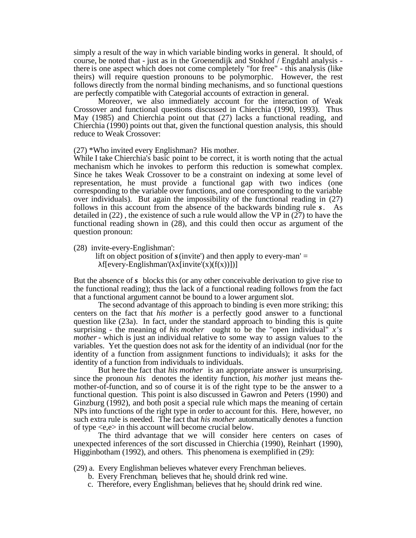simply a result of the way in which variable binding works in general. It should, of course, be noted that - just as in the Groenendijk and Stokhof / Engdahl analysis there is one aspect which does not come completely "for free" - this analysis (like theirs) will require question pronouns to be polymorphic. However, the rest follows directly from the normal binding mechanisms, and so functional questions are perfectly compatible with Categorial accounts of extraction in general.

Moreover, we also immediately account for the interaction of Weak Crossover and functional questions discussed in Chierchia (1990, 1993). Thus May (1985) and Chierchia point out that (27) lacks a functional reading, and Chierchia (1990) points out that, given the functional question analysis, this should reduce to Weak Crossover:

(27) \*Who invited every Englishman? His mother.

While I take Chierchia's basic point to be correct, it is worth noting that the actual mechanism which he invokes to perform this reduction is somewhat complex. Since he takes Weak Crossover to be a constraint on indexing at some level of representation, he must provide a functional gap with two indices (one corresponding to the variable over functions, and one corresponding to the variable over individuals). But again the impossibility of the functional reading in (27) follows in this account from the absence of the backwards binding rule *s*. As detailed in (22) , the existence of such a rule would allow the VP in (27) to have the functional reading shown in (28), and this could then occur as argument of the question pronoun:

(28) invite-every-Englishman':

lift on object position of  $s$  (invite') and then apply to every-man'  $=$  $f[every-Englishman' (x[invite'(x)(f(x))])]$ 

But the absence of *s* blocks this (or any other conceivable derivation to give rise to the functional reading); thus the lack of a functional reading follows from the fact that a functional argument cannot be bound to a lower argument slot.

The second advantage of this approach to binding is even more striking; this centers on the fact that *his mother* is a perfectly good answer to a functional question like (23a). In fact, under the standard approach to binding this is quite surprising - the meaning of *his mother* ought to be the "open individual" *x's mother* - which is just an individual relative to some way to assign values to the variables. Yet the question does not ask for the identity of an individual (nor for the identity of a function from assignment functions to individuals); it asks for the identity of a function from individuals to individuals.

But here the fact that *his mother* is an appropriate answer is unsurprising. since the pronoun *his* denotes the identity function, *his mother* just means themother-of-function, and so of course it is of the right type to be the answer to a functional question. This point is also discussed in Gawron and Peters (1990) and Ginzburg (1992), and both posit a special rule which maps the meaning of certain NPs into functions of the right type in order to account for this. Here, however, no such extra rule is needed. The fact that *his mother* automatically denotes a function of type <e,e> in this account will become crucial below.

The third advantage that we will consider here centers on cases of unexpected inferences of the sort discussed in Chierchia (1990), Reinhart (1990), Higginbotham (1992), and others. This phenomena is exemplified in (29):

(29) a. Every Englishman believes whatever every Frenchman believes.

- b. Every Frenchman<sub>i</sub> believes that he<sub>i</sub> should drink red wine.
- c. Therefore, every Englishmanj believes that hej should drink red wine.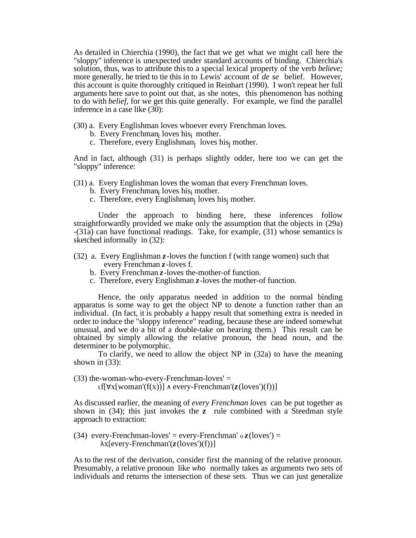As detailed in Chierchia (1990), the fact that we get what we might call here the "sloppy" inference is unexpected under standard accounts of binding. Chierchia's solution, thus, was to attribute this to a special lexical property of the verb *believe;* more generally, he tried to tie this in to Lewis' account of *de se* belief. However, this account is quite thoroughly critiqued in Reinhart (1990). I won't repeat her full arguments here save to point out that, as she notes, this phenomenon has nothing to do with *belief,* for we get this quite generally. For example, we find the parallel inference in a case like (30):

- (30) a. Every Englishman loves whoever every Frenchman loves.
- b. Every Frenchman<sub>i</sub> loves his<sub>i</sub> mother.
- c. Therefore, every Englishman<sub>j</sub> loves his<sub>j</sub> mother.

And in fact, although (31) is perhaps slightly odder, here too we can get the "sloppy" inference:

- (31) a. Every Englishman loves the woman that every Frenchman loves.
- b. Every Frenchman<sub>i</sub> loves his<sub>i</sub> mother.
- c. Therefore, every Englishman<sub>j</sub> loves his<sub>j</sub> mother.

Under the approach to binding here, these inferences follow straightforwardly provided we make only the assumption that the objects in (29a) -(31a) can have functional readings. Take, for example, (31) whose semantics is sketched informally in (32):

- (32) a. Every Englishman *z*-loves the function f (with range women) such that every Frenchman *z*-loves f.
	- b. Every Frenchman *z*-loves the-mother-of function.
	- c. Therefore, every Englishman *z*-loves the mother-of function.

Hence, the only apparatus needed in addition to the normal binding apparatus is some way to get the object NP to denote a function rather than an individual. (In fact, it is probably a happy result that something extra is needed in order to induce the "sloppy inference" reading, because these are indeed somewhat unusual, and we do a bit of a double-take on hearing them.) This result can be obtained by simply allowing the relative pronoun, the head noun, and the determiner to be polymorphic.

To clarify, we need to allow the object NP in (32a) to have the meaning shown in (33):

 $(33)$  the-woman-who-every-Frenchman-loves' = f[  $x[woman'(f(x))]$  every-Frenchman'( $z(loves')(f))$ ]

As discussed earlier, the meaning of *every Frenchman loves* can be put together as shown in  $(34)$ ; this just invokes the *z* rule combined with a Steedman style approach to extraction:

(34) every-Frenchman-loves' = every-Frenchman'  $\circ$  *z*(loves') = x[every-Frenchman'(*z*(loves')(f))]

As to the rest of the derivation, consider first the manning of the relative pronoun. Presumably, a relative pronoun like *who* normally takes as arguments two sets of individuals and returns the intersection of these sets. Thus we can just generalize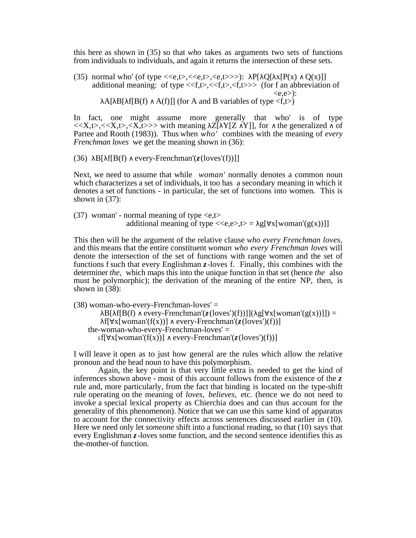this here as shown in (35) so that *who* takes as arguments two sets of functions from individuals to individuals, and again it returns the intersection of these sets.

(35) normal who' (of type  $\langle\langle e,t\rangle,\langle\langle e,t\rangle,\langle e,t\rangle\rangle)$ : P[ Q[ x[P(x) Q(x)]] additional meaning: of type  $\langle \langle f,t \rangle, \langle f,t \rangle \rangle$  (for f an abbreviation of  $\langle e,e \rangle$ : A[ B[ f[B(f) A(f)]] (for A and B variables of type  $\langle f, t \rangle$ )

In fact, one might assume more generally that who' is of type  $\langle \langle X,t \rangle, \langle \langle X,t \rangle, \langle X,t \rangle \rangle$  with meaning Z[ Y[Z Y]], for the generalized of Partee and Rooth (1983)). Thus when *who'* combines with the meaning of *every Frenchman loves* we get the meaning shown in (36):

(36) B[ f[B(f) every-Frenchman'(*z*(loves'(f))]]

Next, we need to assume that while *woman'* normally denotes a common noun which characterizes a set of individuals, it too has a secondary meaning in which it denotes a set of functions - in particular, the set of functions into women. This is shown in  $(37)$ :

(37) woman' - normal meaning of type  $\langle e,t \rangle$ additional meaning of type  $\langle \langle e, e \rangle, t \rangle = g[x[woman'(g(x))]]$ 

This then will be the argument of the relative clause *who every Frenchman loves,* and this means that the entire constituent *woman who every Frenchman loves* will denote the intersection of the set of functions with range women and the set of functions f such that every Englishman *z*-loves f. Finally, this combines with the determiner *the,* which maps this into the unique function in that set (hence *the* also must be polymorphic); the derivation of the meaning of the entire NP, then, is shown in (38):

(38) woman-who-every-Frenchman-loves' =

B[ f[B(f) every-Frenchman'( $z$ (loves')(f))]]( g[  $x$ [woman'( $g(x)$ )]]) = f[  $x[woman'(f(x))]$  every-Frenchman'( $z(loves')(f)$ )] the-woman-who-every-Frenchman-loves' = f[  $x[woman'(f(x))]$  every-Frenchman'( $z(loves')(f)$ )]

I will leave it open as to just how general are the rules which allow the relative pronoun and the head noun to have this polymorphism.

Again, the key point is that very little extra is needed to get the kind of inferences shown above - most of this account follows from the existence of the *z* rule and, more particularly, from the fact that binding is located on the type-shift rule operating on the meaning of *loves, believes,* etc. (hence we do not need to invoke a special lexical property as Chierchia does and can thus account for the generality of this phenomenon). Notice that we can use this same kind of apparatus to account for the connectivity effects across sentences discussed earlier in (10). Here we need only let *someone* shift into a functional reading, so that (10) says that every Englishman *z*-loves some function, and the second sentence identifies this as the-mother-of function.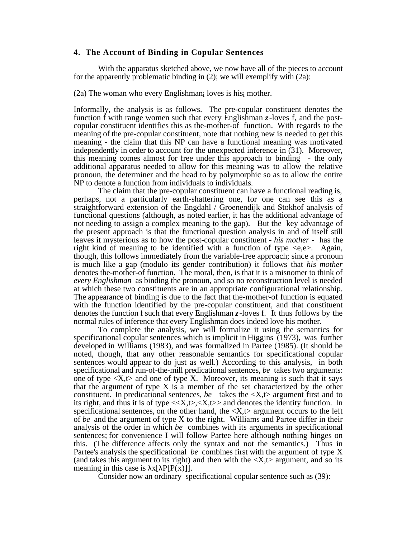# **4. The Account of Binding in Copular Sentences**

With the apparatus sketched above, we now have all of the pieces to account for the apparently problematic binding in (2); we will exemplify with (2a):

 $(2a)$  The woman who every Englishman<sub>i</sub> loves is his<sub>i</sub> mother.

Informally, the analysis is as follows. The pre-copular constituent denotes the function f with range women such that every Englishman *z*-loves f, and the postcopular constituent identifies this as the-mother-of function. With regards to the meaning of the pre-copular constituent, note that nothing new is needed to get this meaning - the claim that this NP can have a functional meaning was motivated independently in order to account for the unexpected inference in (31). Moreover, this meaning comes almost for free under this approach to binding - the only additional apparatus needed to allow for this meaning was to allow the relative pronoun, the determiner and the head to by polymorphic so as to allow the entire NP to denote a function from individuals to individuals.

The claim that the pre-copular constituent can have a functional reading is, perhaps, not a particularly earth-shattering one, for one can see this as a straightforward extension of the Engdahl / Groenendijk and Stokhof analysis of functional questions (although, as noted earlier, it has the additional advantage of not needing to assign a complex meaning to the gap). But the key advantage of the present approach is that the functional question analysis in and of itself still leaves it mysterious as to how the post-copular constituent - *his mother -* has the right kind of meaning to be identified with a function of type  $\langle e, e \rangle$ . Again, though, this follows immediately from the variable-free approach; since a pronoun is much like a gap (modulo its gender contribution) it follows that *his mother* denotes the-mother-of function. The moral, then, is that it is a misnomer to think of *every Englishman* as binding the pronoun, and so no reconstruction level is needed at which these two constituents are in an appropriate configurational relationship. The appearance of binding is due to the fact that the-mother-of function is equated with the function identified by the pre-copular constituent, and that constituent denotes the function f such that every Englishman *z*-loves f. It thus follows by the normal rules of inference that every Englishman does indeed love his mother.

To complete the analysis, we will formalize it using the semantics for specificational copular sentences which is implicit in Higgins (1973), was further developed in Williams (1983), and was formalized in Partee (1985). (It should be noted, though, that any other reasonable semantics for specificational copular sentences would appear to do just as well.) According to this analysis, in both specificational and run-of-the-mill predicational sentences, *be* takes two arguments: one of type  $\langle X, t \rangle$  and one of type X. Moreover, its meaning is such that it says that the argument of type X is a member of the set characterized by the other constituent. In predicational sentences, *be* takes the  $\langle X, t \rangle$  argument first and to its right, and thus it is of type  $\langle x, t \rangle, \langle x, t \rangle$  and denotes the identity function. In specificational sentences, on the other hand, the  $\langle X, t \rangle$  argument occurs to the left of *be* and the argument of type X to the right. Williams and Partee differ in their analysis of the order in which *be* combines with its arguments in specificational sentences; for convenience I will follow Partee here although nothing hinges on this. (The difference affects only the syntax and not the semantics.) Thus in Partee's analysis the specificational *be* combines first with the argument of type X (and takes this argument to its right) and then with the  $\langle X, t \rangle$  argument, and so its meaning in this case is  $x[ P(P(x))].$ 

Consider now an ordinary specificational copular sentence such as (39):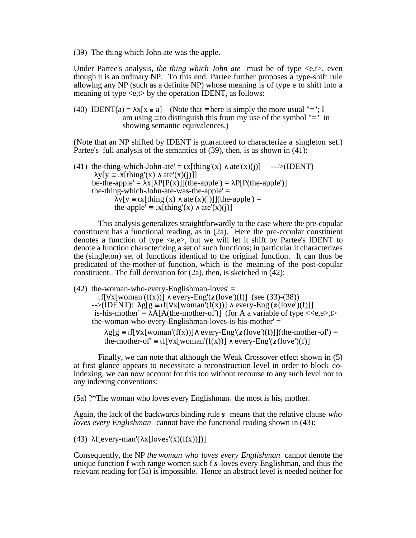(39) The thing which John ate was the apple.

Under Partee's analysis, *the thing which John ate* must be of type  $\langle e,t \rangle$ , even though it is an ordinary NP. To this end, Partee further proposes a type-shift rule allowing any NP (such as a definite NP) whose meaning is of type e to shift into a meaning of type  $\langle e,t \rangle$  by the operation IDENT, as follows:

(40) IDENT(a) =  $x[x = a]$  (Note that here is simply the more usual "="; I am using to distinguish this from my use of the symbol "=" in showing semantic equivalences.)

(Note that an NP shifted by IDENT is guaranteed to characterize a singleton set.) Partee's full analysis of the semantics of (39), then, is as shown in (41).

(41) the-thing-which-John-ate' =  $x[t\text{hing}'(x) \text{ ate}'(x)(i)]$  --->(IDENT)  $y[y \quad x[thing'(x) \quad ate'(x)(i)]$ be-the-apple' =  $x$ [ P[P(x)]](the-apple') = P[P(the-apple')] the-thing-which-John-ate-was-the-apple'  $=$  $y[y \quad x[thing'(x) \quad ate'(x)(i)]](the-apple') =$ the-apple'  $\bar{x}$ [thing'(x) ate'(x)(j)]

This analysis generalizes straightforwardly to the case where the pre-copular constituent has a functional reading, as in (2a). Here the pre-copular constituent denotes a function of type <e,e>, but we will let it shift by Partee's IDENT to denote a function characterizing a set of such functions; in particular it characterizes the (singleton) set of functions identical to the original function. It can thus be predicated of the-mother-of function, which is the meaning of the post-copular constituent. The full derivation for  $(2a)$ , then, is sketched in  $(42)$ :

 $(42)$  the-woman-who-every-Englishman-loves' =

f[ x[woman'(f(x))] every-Eng'( $z$ (love')(f)] (see (33)-(38))<br>-->(IDENT): g[g f[ x[woman'(f(x))] every-Eng'( $z$ (love')  $f[x[woman'(f(x))]$  every-Eng'( $z(love')(f)]$ ] is-his-mother' =  $A[A$ (the-mother-of')] (for A a variable of type  $\langle\langle e, e \rangle, t \rangle$ the-woman-who-every-Englishman-loves-is-his-mother' =

g[g f[ x[woman'(f(x))] every-Eng'( $z$ (love')(f)]](the-mother-of') = the-mother-of' f[  $x[woman'(f(x))]$  every-Eng'( $z(love')(f)$ ]

Finally, we can note that although the Weak Crossover effect shown in (5) at first glance appears to necessitate a reconstruction level in order to block coindexing, we can now account for this too without recourse to any such level nor to any indexing conventions:

 $(5a)$  ?\*The woman who loves every Englishman<sub>i</sub> the most is his<sub>i</sub> mother.

Again, the lack of the backwards binding rule *s* means that the relative clause *who loves every Englishman* cannot have the functional reading shown in (43):

(43) f[every-man'( $x[loves'(x)(f(x))$ ])]

Consequently, the NP *the woman who loves every Englishman* cannot denote the unique function f with range women such f *s*-loves every Englishman, and thus the relevant reading for (5a) is impossible. Hence an abstract level is needed neither for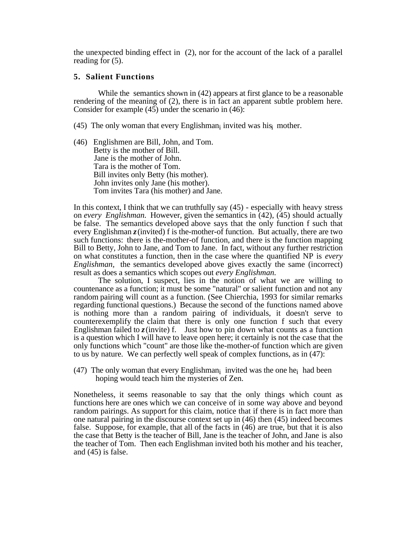the unexpected binding effect in (2), nor for the account of the lack of a parallel reading for (5).

#### **5. Salient Functions**

While the semantics shown in (42) appears at first glance to be a reasonable rendering of the meaning of (2), there is in fact an apparent subtle problem here. Consider for example (45) under the scenario in (46):

- (45) The only woman that every Englishman<sub>i</sub> invited was his<sub>i</sub> mother.
- (46) Englishmen are Bill, John, and Tom. Betty is the mother of Bill. Jane is the mother of John. Tara is the mother of Tom. Bill invites only Betty (his mother). John invites only Jane (his mother). Tom invites Tara (his mother) and Jane.

In this context, I think that we can truthfully say (45) - especially with heavy stress on *every Englishman.* However, given the semantics in (42), (45) should actually be false. The semantics developed above says that the only function f such that every Englishman *z*(invited) f is the-mother-of function. But actually, there are two such functions: there is the-mother-of function, and there is the function mapping Bill to Betty, John to Jane, and Tom to Jane. In fact, without any further restriction on what constitutes a function, then in the case where the quantified NP is *every Englishman,* the semantics developed above gives exactly the same (incorrect) result as does a semantics which scopes out *every Englishman.*

The solution, I suspect, lies in the notion of what we are willing to countenance as a function; it must be some "natural" or salient function and not any random pairing will count as a function. (See Chierchia, 1993 for similar remarks regarding functional questions.) Because the second of the functions named above is nothing more than a random pairing of individuals, it doesn't serve to counterexemplify the claim that there is only one function f such that every Englishman failed to  $z$  (invite) f. Just how to pin down what counts as a function is a question which I will have to leave open here; it certainly is not the case that the only functions which "count" are those like the-mother-of function which are given to us by nature. We can perfectly well speak of complex functions, as in (47):

(47) The only woman that every Englishman<sub>i</sub> invited was the one he<sub>i</sub> had been hoping would teach him the mysteries of Zen.

Nonetheless, it seems reasonable to say that the only things which count as functions here are ones which we can conceive of in some way above and beyond random pairings. As support for this claim, notice that if there is in fact more than one natural pairing in the discourse context set up in (46) then (45) indeed becomes false. Suppose, for example, that all of the facts in (46) are true, but that it is also the case that Betty is the teacher of Bill, Jane is the teacher of John, and Jane is also the teacher of Tom. Then each Englishman invited both his mother and his teacher, and (45) is false.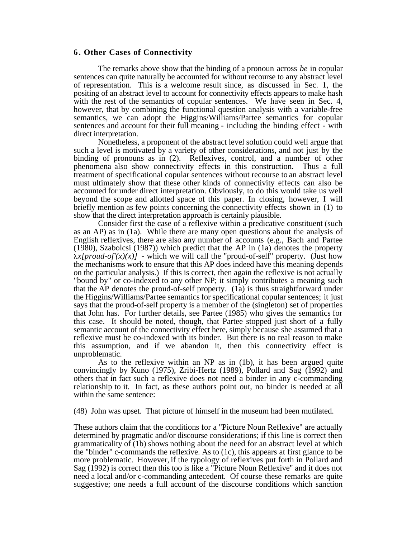#### **6 . Other Cases of Connectivity**

The remarks above show that the binding of a pronoun across *be* in copular sentences can quite naturally be accounted for without recourse to any abstract level of representation. This is a welcome result since, as discussed in Sec. 1, the positing of an abstract level to account for connectivity effects appears to make hash with the rest of the semantics of copular sentences. We have seen in Sec. 4, however, that by combining the functional question analysis with a variable-free semantics, we can adopt the Higgins/Williams/Partee semantics for copular sentences and account for their full meaning - including the binding effect - with direct interpretation.

Nonetheless, a proponent of the abstract level solution could well argue that such a level is motivated by a variety of other considerations, and not just by the binding of pronouns as in (2). Reflexives, control, and a number of other phenomena also show connectivity effects in this construction. Thus a full treatment of specificational copular sentences without recourse to an abstract level must ultimately show that these other kinds of connectivity effects can also be accounted for under direct interpretation. Obviously, to do this would take us well beyond the scope and allotted space of this paper. In closing, however, I will briefly mention as few points concerning the connectivity effects shown in (1) to show that the direct interpretation approach is certainly plausible.

Consider first the case of a reflexive within a predicative constituent (such as an AP) as in (1a). While there are many open questions about the analysis of English reflexives, there are also any number of accounts (e.g., Bach and Partee (1980), Szabolcsi (1987)) which predict that the AP in (1a) denotes the property  $\lambda x$ [proud-of'(x)(x)] - which we will call the "proud-of-self" property. (Just how the mechanisms work to ensure that this AP does indeed have this meaning depends on the particular analysis.) If this is correct, then again the reflexive is not actually "bound by" or co-indexed to any other NP; it simply contributes a meaning such that the AP denotes the proud-of-self property. (1a) is thus straightforward under the Higgins/Williams/Partee semantics for specificational copular sentences; it just says that the proud-of-self property is a member of the (singleton) set of properties that John has. For further details, see Partee (1985) who gives the semantics for this case. It should be noted, though, that Partee stopped just short of a fully semantic account of the connectivity effect here, simply because she assumed that a reflexive must be co-indexed with its binder. But there is no real reason to make this assumption, and if we abandon it, then this connectivity effect is unproblematic.

As to the reflexive within an NP as in (1b), it has been argued quite convincingly by Kuno (1975), Zribi-Hertz (1989), Pollard and Sag (1992) and others that in fact such a reflexive does not need a binder in any c-commanding relationship to it. In fact, as these authors point out, no binder is needed at all within the same sentence:

(48) John was upset. That picture of himself in the museum had been mutilated.

These authors claim that the conditions for a "Picture Noun Reflexive" are actually determined by pragmatic and/or discourse considerations; if this line is correct then grammaticality of (1b) shows nothing about the need for an abstract level at which the "binder" c-commands the reflexive. As to (1c), this appears at first glance to be more problematic. However, if the typology of reflexives put forth in Pollard and Sag (1992) is correct then this too is like a "Picture Noun Reflexive" and it does not need a local and/or c-commanding antecedent. Of course these remarks are quite suggestive; one needs a full account of the discourse conditions which sanction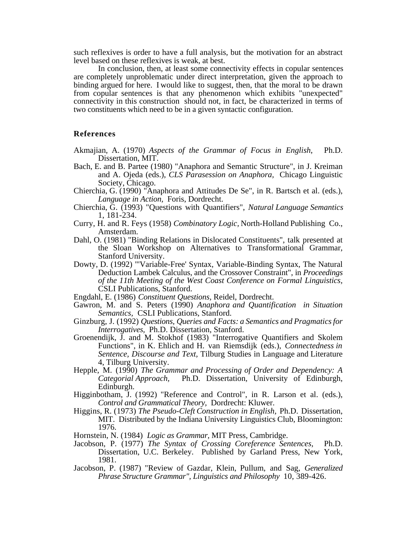such reflexives is order to have a full analysis, but the motivation for an abstract level based on these reflexives is weak, at best.

In conclusion, then, at least some connectivity effects in copular sentences are completely unproblematic under direct interpretation, given the approach to binding argued for here. I would like to suggest, then, that the moral to be drawn from copular sentences is that any phenomenon which exhibits "unexpected" connectivity in this construction should not, in fact, be characterized in terms of two constituents which need to be in a given syntactic configuration.

#### **References**

- Akmajian, A. (1970) *Aspects of the Grammar of Focus in English*, Ph.D. Dissertation, MIT.
- Bach, E. and B. Partee (1980) "Anaphora and Semantic Structure", in J. Kreiman and A. Ojeda (eds.), *CLS Parasession on Anaphora,* Chicago Linguistic Society, Chicago.
- Chierchia, G. (1990) "Anaphora and Attitudes De Se", in R. Bartsch et al. (eds.), *Language in Action,* Foris, Dordrecht.
- Chierchia, G. (1993) "Questions with Quantifiers", *Natural Language Semantics* 1, 181-234.
- Curry, H. and R. Feys (1958) *Combinatory Logic,* North-Holland Publishing Co., Amsterdam.
- Dahl, O. (1981) "Binding Relations in Dislocated Constituents", talk presented at the Sloan Workshop on Alternatives to Transformational Grammar, Stanford University.
- Dowty, D. (1992) "'Variable-Free' Syntax, Variable-Binding Syntax, The Natural Deduction Lambek Calculus, and the Crossover Constraint", in *Proceedings of the 11th Meeting of the West Coast Conference on Formal Linguistics,* CSLI Publications, Stanford.
- Engdahl, E. (1986) *Constituent Questions,* Reidel, Dordrecht.
- Gawron, M. and S. Peters (1990) *Anaphora and Quantification in Situation Semantics,* CSLI Publications, Stanford.
- Ginzburg, J. (1992) *Questions, Queries and Facts: a Semantics and Pragmatics for Interrogatives,* Ph.D. Dissertation, Stanford.
- Groenendijk, J. and M. Stokhof (1983) "Interrogative Quantifiers and Skolem Functions", in K. Ehlich and H. van Riemsdijk (eds.), *Connectedness in Sentence, Discourse and Text,* Tilburg Studies in Language and Literature 4, Tilburg University.
- Hepple, M. (1990) *The Grammar and Processing of Order and Dependency: A Categorial Approach,* Ph.D. Dissertation, University of Edinburgh, Edinburgh.
- Higginbotham, J. (1992) "Reference and Control", in R. Larson et al. (eds.), *Control and Grammatical Theory,* Dordrecht: Kluwer.
- Higgins, R. (1973) *The Pseudo-Cleft Construction in English,* Ph.D. Dissertation, MIT. Distributed by the Indiana University Linguistics Club, Bloomington: 1976.
- Hornstein, N. (1984) *Logic as Grammar,* MIT Press, Cambridge.
- Jacobson, P. (1977) *The Syntax of Crossing Coreference Sentences,* Ph.D. Dissertation, U.C. Berkeley. Published by Garland Press, New York, 1981.
- Jacobson, P. (1987) "Review of Gazdar, Klein, Pullum, and Sag, *Generalized Phrase Structure Grammar", Linguistics and Philosophy* 10, 389-426.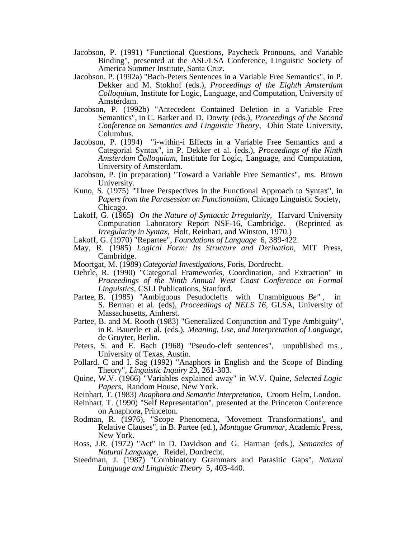- Jacobson, P. (1991) "Functional Questions, Paycheck Pronouns, and Variable Binding", presented at the ASL/LSA Conference, Linguistic Society of America Summer Institute, Santa Cruz.
- Jacobson, P. (1992a) "Bach-Peters Sentences in a Variable Free Semantics", in P. Dekker and M. Stokhof (eds.), *Proceedings of the Eighth Amsterdam Colloquium,* Institute for Logic, Language, and Computation, University of Amsterdam.
- Jacobson, P. (1992b) "Antecedent Contained Deletion in a Variable Free Semantics", in C. Barker and D. Dowty (eds.), *Proceedings of the Second Conference on Semantics and Linguistic Theory,* Ohio State University, Columbus.
- Jacobson, P. (1994) "i-within-i Effects in a Variable Free Semantics and a Categorial Syntax", in P. Dekker et al. (eds.), *Proceedings of the Ninth Amsterdam Colloquium,* Institute for Logic, Language, and Computation, University of Amsterdam.
- Jacobson, P. (in preparation) "Toward a Variable Free Semantics", ms. Brown University.
- Kuno, S. (1975) "Three Perspectives in the Functional Approach to Syntax", in *Papers from the Parasession on Functionalism,* Chicago Linguistic Society, Chicago.
- Lakoff, G. (1965) *On the Nature of Syntactic Irregularity,* Harvard University Computation Laboratory Report NSF-16, Cambridge. (Reprinted as *Irregularity in Syntax,* Holt, Reinhart, and Winston, 1970.)
- Lakoff, G. (1970) "Repartee", *Foundations of Language* 6, 389-422.
- May, R. (1985) *Logical Form: Its Structure and Derivation,* MIT Press, Cambridge.
- Moortgat, M. (1989) *Categorial Investigations,* Foris, Dordrecht.
- Oehrle, R. (1990) "Categorial Frameworks, Coordination, and Extraction" in *Proceedings of the Ninth Annual West Coast Conference on Formal Linguistics,* CSLI Publications, Stanford.
- Partee, B. (1985) "Ambiguous Pesudoclefts with Unambiguous *Be"* , in S. Berman et al. (eds), *Proceedings of NELS 16,* GLSA, University of Massachusetts, Amherst.
- Partee, B. and M. Rooth (1983) "Generalized Conjunction and Type Ambiguity", in R. Bauerle et al. (eds.), *Meaning, Use, and Interpretation of Language,* de Gruyter, Berlin.
- Peters, S. and E. Bach (1968) "Pseudo-cleft sentences", unpublished ms., University of Texas, Austin.
- Pollard. C and I. Sag (1992) "Anaphors in English and the Scope of Binding Theory", *Linguistic Inquiry* 23, 261-303.
- Quine, W.V. (1966) "Variables explained away" in W.V. Quine, *Selected Logic Papers,* Random House, New York.
- Reinhart, T. (1983) *Anaphora and Semantic Interpretation,* Croom Helm, London.
- Reinhart, T. (1990) "Self Representation", presented at the Princeton Conference on Anaphora, Princeton.
- Rodman, R. (1976), "Scope Phenomena, 'Movement Transformations', and Relative Clauses", in B. Partee (ed.), *Montague Grammar,* Academic Press, New York.
- Ross, J.R. (1972) "Act" in D. Davidson and G. Harman (eds.), *Semantics of Natural Language,* Reidel, Dordrecht.
- Steedman, J. (1987) "Combinatory Grammars and Parasitic Gaps", *Natural Language and Linguistic Theory* 5, 403-440.